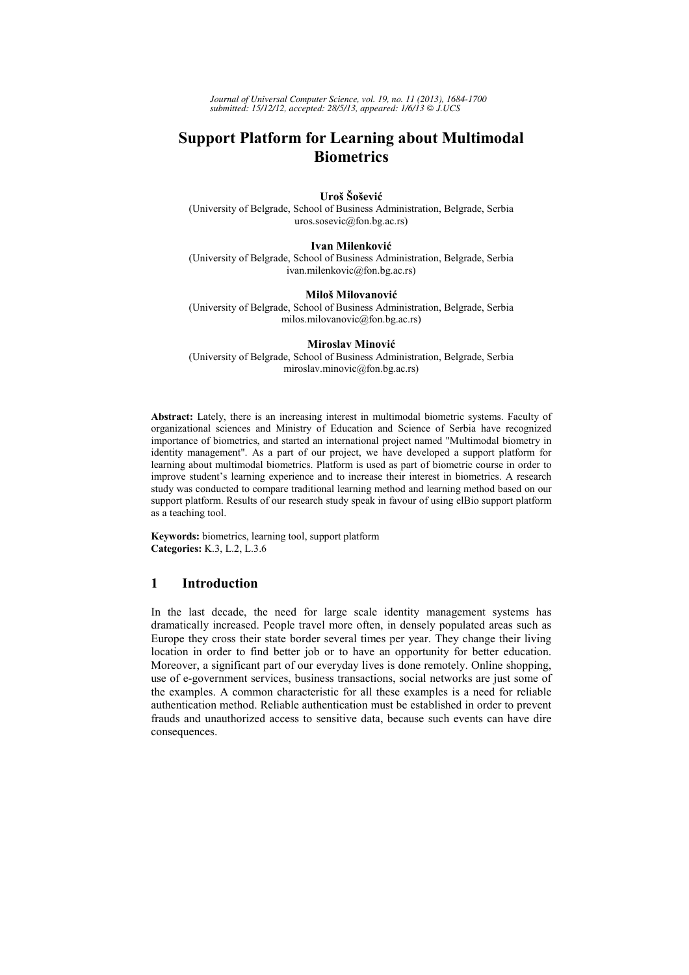*Journal of Universal Computer Science, vol. 19, no. 11 (2013), 1684-1700 submitted: 15/12/12, accepted: 28/5/13, appeared: 1/6/13 J.UCS*

# **Support Platform for Learning about Multimodal Biometrics**

**Uroš Šošević** 

(University of Belgrade, School of Business Administration, Belgrade, Serbia uros.sosevic@fon.bg.ac.rs)

**Ivan Milenković**

(University of Belgrade, School of Business Administration, Belgrade, Serbia ivan.milenkovic@fon.bg.ac.rs)

#### **Miloš Milovanović**

(University of Belgrade, School of Business Administration, Belgrade, Serbia milos.milovanovic@fon.bg.ac.rs)

#### **Miroslav Minović**

(University of Belgrade, School of Business Administration, Belgrade, Serbia miroslav.minovic@fon.bg.ac.rs)

**Abstract:** Lately, there is an increasing interest in multimodal biometric systems. Faculty of organizational sciences and Ministry of Education and Science of Serbia have recognized importance of biometrics, and started an international project named "Multimodal biometry in identity management". As a part of our project, we have developed a support platform for learning about multimodal biometrics. Platform is used as part of biometric course in order to improve student's learning experience and to increase their interest in biometrics. A research study was conducted to compare traditional learning method and learning method based on our support platform. Results of our research study speak in favour of using elBio support platform as a teaching tool.

**Keywords:** biometrics, learning tool, support platform **Categories:** K.3, L.2, L.3.6

# **1 Introduction**

In the last decade, the need for large scale identity management systems has dramatically increased. People travel more often, in densely populated areas such as Europe they cross their state border several times per year. They change their living location in order to find better job or to have an opportunity for better education. Moreover, a significant part of our everyday lives is done remotely. Online shopping, use of e-government services, business transactions, social networks are just some of the examples. A common characteristic for all these examples is a need for reliable authentication method. Reliable authentication must be established in order to prevent frauds and unauthorized access to sensitive data, because such events can have dire consequences.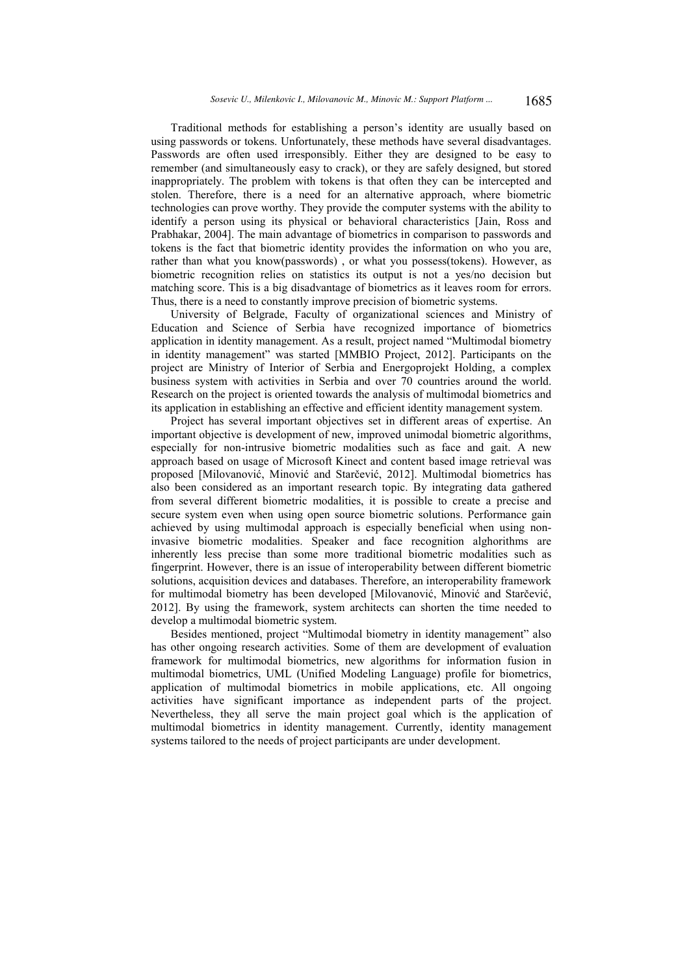Traditional methods for establishing a person's identity are usually based on using passwords or tokens. Unfortunately, these methods have several disadvantages. Passwords are often used irresponsibly. Either they are designed to be easy to remember (and simultaneously easy to crack), or they are safely designed, but stored inappropriately. The problem with tokens is that often they can be intercepted and stolen. Therefore, there is a need for an alternative approach, where biometric technologies can prove worthy. They provide the computer systems with the ability to identify a person using its physical or behavioral characteristics [Jain, Ross and Prabhakar, 2004]. The main advantage of biometrics in comparison to passwords and tokens is the fact that biometric identity provides the information on who you are, rather than what you know(passwords) , or what you possess(tokens). However, as biometric recognition relies on statistics its output is not a yes/no decision but matching score. This is a big disadvantage of biometrics as it leaves room for errors. Thus, there is a need to constantly improve precision of biometric systems.

University of Belgrade, Faculty of organizational sciences and Ministry of Education and Science of Serbia have recognized importance of biometrics application in identity management. As a result, project named "Multimodal biometry in identity management" was started [MMBIO Project, 2012]. Participants on the project are Ministry of Interior of Serbia and Energoprojekt Holding, a complex business system with activities in Serbia and over 70 countries around the world. Research on the project is oriented towards the analysis of multimodal biometrics and its application in establishing an effective and efficient identity management system.

Project has several important objectives set in different areas of expertise. An important objective is development of new, improved unimodal biometric algorithms, especially for non-intrusive biometric modalities such as face and gait. A new approach based on usage of Microsoft Kinect and content based image retrieval was proposed [Milovanović, Minović and Starčević, 2012]. Multimodal biometrics has also been considered as an important research topic. By integrating data gathered from several different biometric modalities, it is possible to create a precise and secure system even when using open source biometric solutions. Performance gain achieved by using multimodal approach is especially beneficial when using noninvasive biometric modalities. Speaker and face recognition alghorithms are inherently less precise than some more traditional biometric modalities such as fingerprint. However, there is an issue of interoperability between different biometric solutions, acquisition devices and databases. Therefore, an interoperability framework for multimodal biometry has been developed [Milovanović, Minović and Starčević, 2012]. By using the framework, system architects can shorten the time needed to develop a multimodal biometric system.

Besides mentioned, project "Multimodal biometry in identity management" also has other ongoing research activities. Some of them are development of evaluation framework for multimodal biometrics, new algorithms for information fusion in multimodal biometrics, UML (Unified Modeling Language) profile for biometrics, application of multimodal biometrics in mobile applications, etc. All ongoing activities have significant importance as independent parts of the project. Nevertheless, they all serve the main project goal which is the application of multimodal biometrics in identity management. Currently, identity management systems tailored to the needs of project participants are under development.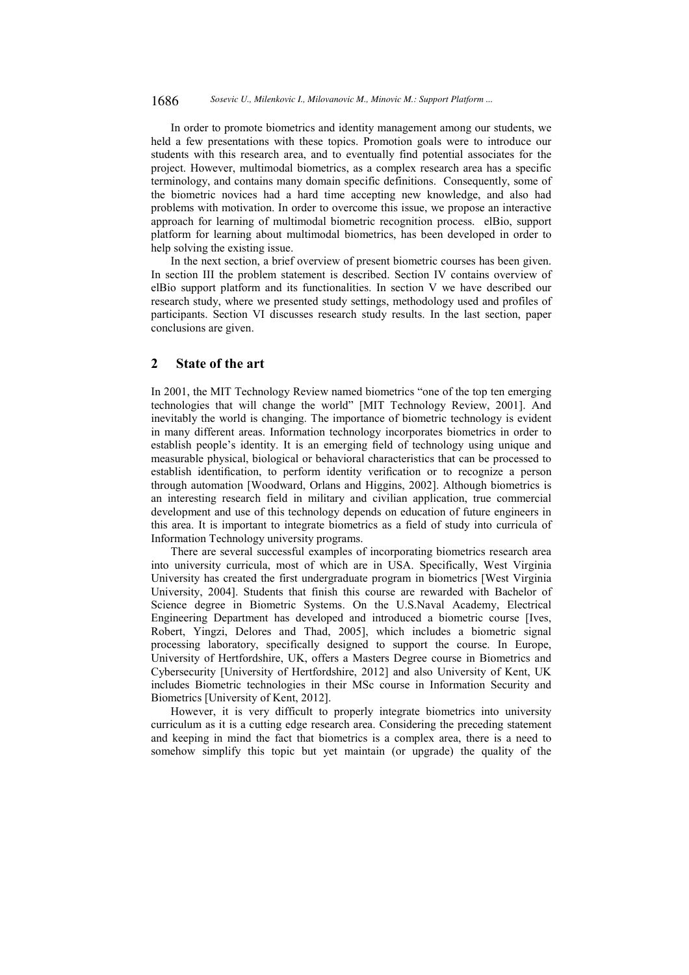In order to promote biometrics and identity management among our students, we held a few presentations with these topics. Promotion goals were to introduce our students with this research area, and to eventually find potential associates for the project. However, multimodal biometrics, as a complex research area has a specific terminology, and contains many domain specific definitions. Consequently, some of the biometric novices had a hard time accepting new knowledge, and also had problems with motivation. In order to overcome this issue, we propose an interactive approach for learning of multimodal biometric recognition process. elBio, support platform for learning about multimodal biometrics, has been developed in order to help solving the existing issue.

In the next section, a brief overview of present biometric courses has been given. In section III the problem statement is described. Section IV contains overview of elBio support platform and its functionalities. In section V we have described our research study, where we presented study settings, methodology used and profiles of participants. Section VI discusses research study results. In the last section, paper conclusions are given.

# **2 State of the art**

In 2001, the MIT Technology Review named biometrics "one of the top ten emerging technologies that will change the world" [MIT Technology Review, 2001]. And inevitably the world is changing. The importance of biometric technology is evident in many different areas. Information technology incorporates biometrics in order to establish people's identity. It is an emerging field of technology using unique and measurable physical, biological or behavioral characteristics that can be processed to establish identification, to perform identity verification or to recognize a person through automation [Woodward, Orlans and Higgins, 2002]. Although biometrics is an interesting research field in military and civilian application, true commercial development and use of this technology depends on education of future engineers in this area. It is important to integrate biometrics as a field of study into curricula of Information Technology university programs.

There are several successful examples of incorporating biometrics research area into university curricula, most of which are in USA. Specifically, West Virginia University has created the first undergraduate program in biometrics [West Virginia University, 2004]. Students that finish this course are rewarded with Bachelor of Science degree in Biometric Systems. On the U.S.Naval Academy, Electrical Engineering Department has developed and introduced a biometric course [Ives, Robert, Yingzi, Delores and Thad, 2005], which includes a biometric signal processing laboratory, specifically designed to support the course. In Europe, University of Hertfordshire, UK, offers a Masters Degree course in Biometrics and Cybersecurity [University of Hertfordshire, 2012] and also University of Kent, UK includes Biometric technologies in their MSc course in Information Security and Biometrics [University of Kent, 2012].

However, it is very difficult to properly integrate biometrics into university curriculum as it is a cutting edge research area. Considering the preceding statement and keeping in mind the fact that biometrics is a complex area, there is a need to somehow simplify this topic but yet maintain (or upgrade) the quality of the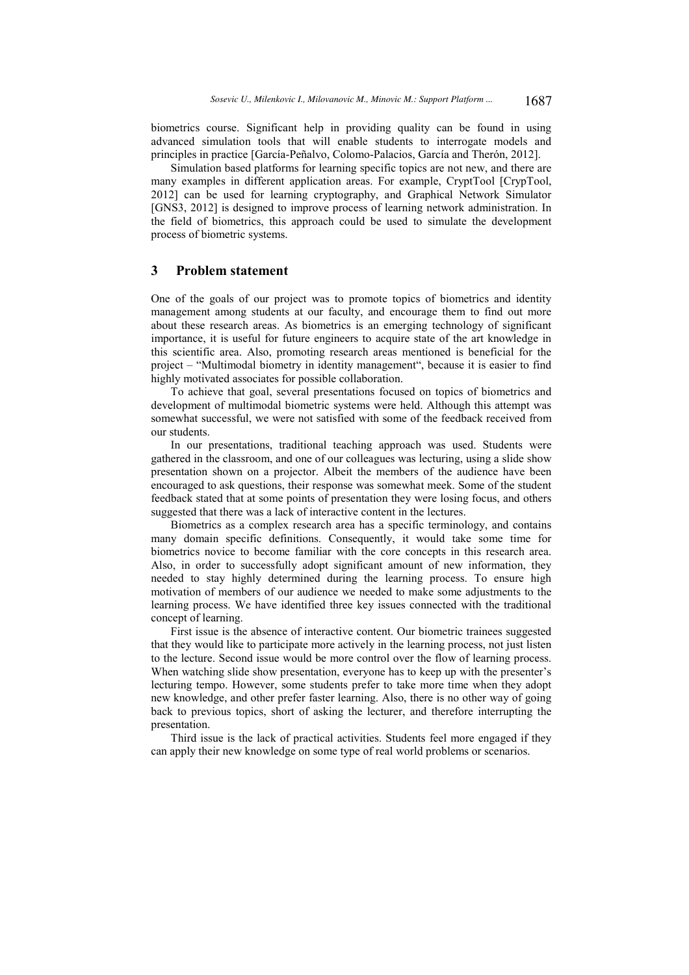biometrics course. Significant help in providing quality can be found in using advanced simulation tools that will enable students to interrogate models and principles in practice [García-Peñalvo, Colomo-Palacios, García and Therón, 2012].

Simulation based platforms for learning specific topics are not new, and there are many examples in different application areas. For example, CryptTool [CrypTool, 2012] can be used for learning cryptography, and Graphical Network Simulator [GNS3, 2012] is designed to improve process of learning network administration. In the field of biometrics, this approach could be used to simulate the development process of biometric systems.

### **3 Problem statement**

One of the goals of our project was to promote topics of biometrics and identity management among students at our faculty, and encourage them to find out more about these research areas. As biometrics is an emerging technology of significant importance, it is useful for future engineers to acquire state of the art knowledge in this scientific area. Also, promoting research areas mentioned is beneficial for the project – "Multimodal biometry in identity management", because it is easier to find highly motivated associates for possible collaboration.

To achieve that goal, several presentations focused on topics of biometrics and development of multimodal biometric systems were held. Although this attempt was somewhat successful, we were not satisfied with some of the feedback received from our students.

In our presentations, traditional teaching approach was used. Students were gathered in the classroom, and one of our colleagues was lecturing, using a slide show presentation shown on a projector. Albeit the members of the audience have been encouraged to ask questions, their response was somewhat meek. Some of the student feedback stated that at some points of presentation they were losing focus, and others suggested that there was a lack of interactive content in the lectures.

Biometrics as a complex research area has a specific terminology, and contains many domain specific definitions. Consequently, it would take some time for biometrics novice to become familiar with the core concepts in this research area. Also, in order to successfully adopt significant amount of new information, they needed to stay highly determined during the learning process. To ensure high motivation of members of our audience we needed to make some adjustments to the learning process. We have identified three key issues connected with the traditional concept of learning.

First issue is the absence of interactive content. Our biometric trainees suggested that they would like to participate more actively in the learning process, not just listen to the lecture. Second issue would be more control over the flow of learning process. When watching slide show presentation, everyone has to keep up with the presenter's lecturing tempo. However, some students prefer to take more time when they adopt new knowledge, and other prefer faster learning. Also, there is no other way of going back to previous topics, short of asking the lecturer, and therefore interrupting the presentation.

Third issue is the lack of practical activities. Students feel more engaged if they can apply their new knowledge on some type of real world problems or scenarios.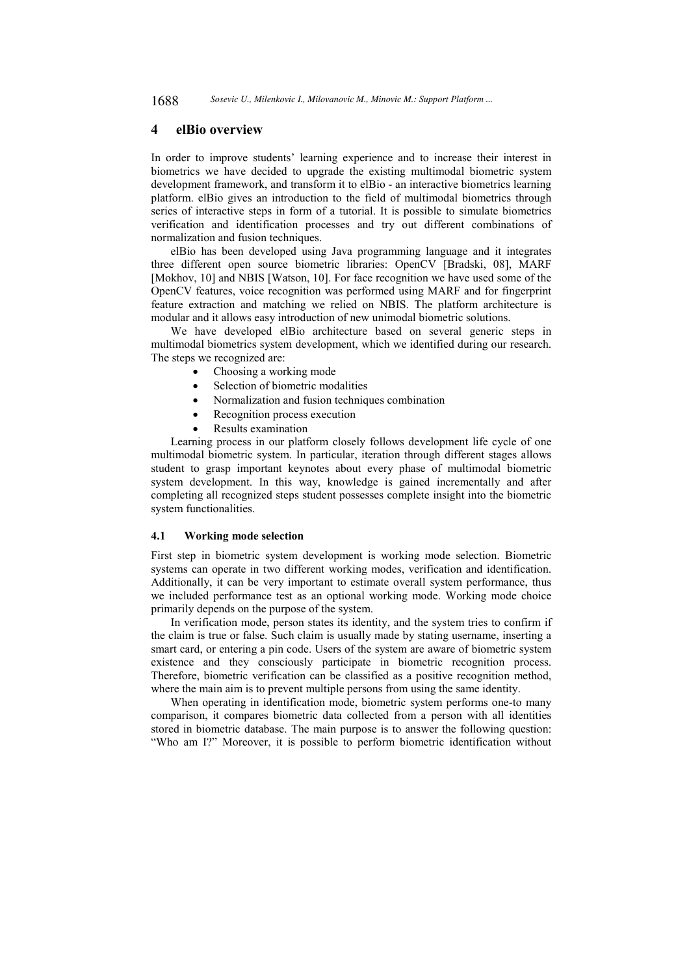1688 *Sosevic U., Milenkovic I., Milovanovic M., Minovic M.: Support Platform ...*

### **4 elBio overview**

In order to improve students' learning experience and to increase their interest in biometrics we have decided to upgrade the existing multimodal biometric system development framework, and transform it to elBio - an interactive biometrics learning platform. elBio gives an introduction to the field of multimodal biometrics through series of interactive steps in form of a tutorial. It is possible to simulate biometrics verification and identification processes and try out different combinations of normalization and fusion techniques.

elBio has been developed using Java programming language and it integrates three different open source biometric libraries: OpenCV [Bradski, 08], MARF [Mokhov, 10] and NBIS [Watson, 10]. For face recognition we have used some of the OpenCV features, voice recognition was performed using MARF and for fingerprint feature extraction and matching we relied on NBIS. The platform architecture is modular and it allows easy introduction of new unimodal biometric solutions.

We have developed elBio architecture based on several generic steps in multimodal biometrics system development, which we identified during our research. The steps we recognized are:

- Choosing a working mode
- Selection of biometric modalities
- Normalization and fusion techniques combination
- Recognition process execution
- Results examination

Learning process in our platform closely follows development life cycle of one multimodal biometric system. In particular, iteration through different stages allows student to grasp important keynotes about every phase of multimodal biometric system development. In this way, knowledge is gained incrementally and after completing all recognized steps student possesses complete insight into the biometric system functionalities.

#### **4.1 Working mode selection**

First step in biometric system development is working mode selection. Biometric systems can operate in two different working modes, verification and identification. Additionally, it can be very important to estimate overall system performance, thus we included performance test as an optional working mode. Working mode choice primarily depends on the purpose of the system.

In verification mode, person states its identity, and the system tries to confirm if the claim is true or false. Such claim is usually made by stating username, inserting a smart card, or entering a pin code. Users of the system are aware of biometric system existence and they consciously participate in biometric recognition process. Therefore, biometric verification can be classified as a positive recognition method, where the main aim is to prevent multiple persons from using the same identity.

When operating in identification mode, biometric system performs one-to many comparison, it compares biometric data collected from a person with all identities stored in biometric database. The main purpose is to answer the following question: "Who am I?" Moreover, it is possible to perform biometric identification without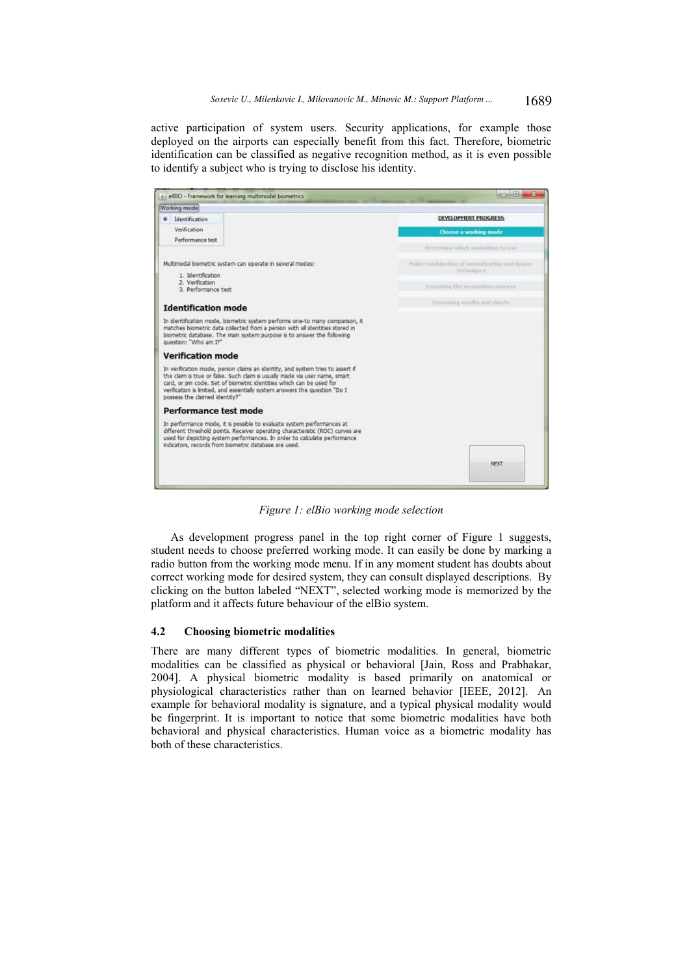active participation of system users. Security applications, for example those deployed on the airports can especially benefit from this fact. Therefore, biometric identification can be classified as negative recognition method, as it is even possible to identify a subject who is trying to disclose his identity.



*Figure 1: elBio working mode selection* 

As development progress panel in the top right corner of Figure 1 suggests, student needs to choose preferred working mode. It can easily be done by marking a radio button from the working mode menu. If in any moment student has doubts about correct working mode for desired system, they can consult displayed descriptions. By clicking on the button labeled "NEXT", selected working mode is memorized by the platform and it affects future behaviour of the elBio system.

# **4.2 Choosing biometric modalities**

There are many different types of biometric modalities. In general, biometric modalities can be classified as physical or behavioral [Jain, Ross and Prabhakar, 2004]. A physical biometric modality is based primarily on anatomical or physiological characteristics rather than on learned behavior [IEEE, 2012]. An example for behavioral modality is signature, and a typical physical modality would be fingerprint. It is important to notice that some biometric modalities have both behavioral and physical characteristics. Human voice as a biometric modality has both of these characteristics.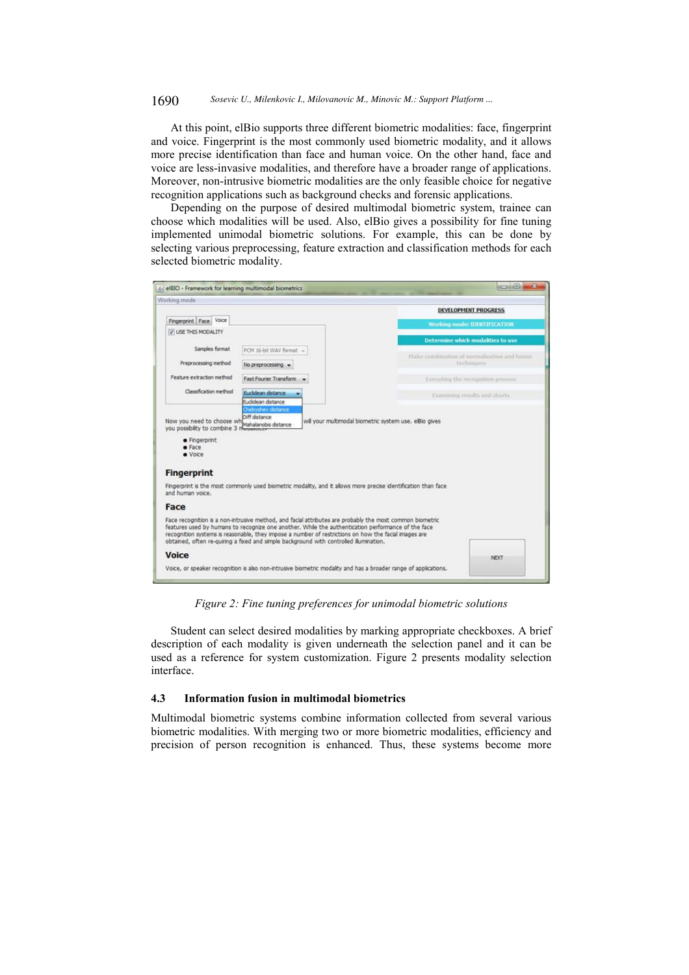#### 1690 *Sosevic U., Milenkovic I., Milovanovic M., Minovic M.: Support Platform ...*

At this point, elBio supports three different biometric modalities: face, fingerprint and voice. Fingerprint is the most commonly used biometric modality, and it allows more precise identification than face and human voice. On the other hand, face and voice are less-invasive modalities, and therefore have a broader range of applications. Moreover, non-intrusive biometric modalities are the only feasible choice for negative recognition applications such as background checks and forensic applications.

Depending on the purpose of desired multimodal biometric system, trainee can choose which modalities will be used. Also, elBio gives a possibility for fine tuning implemented unimodal biometric solutions. For example, this can be done by selecting various preprocessing, feature extraction and classification methods for each selected biometric modality.

| Working mode                                                                             |                                                                                                                                                                                                                                                                                                                                                                                                                  |                                                        |
|------------------------------------------------------------------------------------------|------------------------------------------------------------------------------------------------------------------------------------------------------------------------------------------------------------------------------------------------------------------------------------------------------------------------------------------------------------------------------------------------------------------|--------------------------------------------------------|
|                                                                                          |                                                                                                                                                                                                                                                                                                                                                                                                                  | DEVELOPMENT PROGRESS                                   |
| Fingerprint Face Voice                                                                   |                                                                                                                                                                                                                                                                                                                                                                                                                  | <b>Working mode: IDENTIFICATION</b>                    |
| V USE THIS MODALITY                                                                      |                                                                                                                                                                                                                                                                                                                                                                                                                  |                                                        |
| Samples format                                                                           | PCM 16-bit WAV format                                                                                                                                                                                                                                                                                                                                                                                            | Determine which modalities to use                      |
|                                                                                          |                                                                                                                                                                                                                                                                                                                                                                                                                  | Make combination of normalization and fusion           |
| Preprocessing method                                                                     | No preprocessing -                                                                                                                                                                                                                                                                                                                                                                                               | techniques                                             |
| Feature extraction method                                                                | Fast Fourier Transform                                                                                                                                                                                                                                                                                                                                                                                           | Executing the recognition process                      |
| Classification method                                                                    | Euclidean distance                                                                                                                                                                                                                                                                                                                                                                                               | Examining results and charts.                          |
|                                                                                          | Eudidean distance<br>Chebyshev distance                                                                                                                                                                                                                                                                                                                                                                          |                                                        |
| Now you need to choose wh<br>you possbility to combine 3 mouvement<br>· Fingerprint<br>E | Mahalanobis distance                                                                                                                                                                                                                                                                                                                                                                                             | will your multimodal biometric system use, elBio gives |
| · Voice<br><b>Fingerprint</b>                                                            |                                                                                                                                                                                                                                                                                                                                                                                                                  |                                                        |
| and human voice.                                                                         | Fingerprint is the most commonly used biometric modality, and it allows more precise identification than face                                                                                                                                                                                                                                                                                                    |                                                        |
| Face                                                                                     |                                                                                                                                                                                                                                                                                                                                                                                                                  |                                                        |
|                                                                                          | Face recognition is a non-intrusive method, and facial attributes are probably the most common biometric<br>features used by humans to recognize one another. While the authentication performance of the face<br>recognition systems is reasonable, they impose a number of restrictions on how the facial images are<br>obtained, often re-quiring a fixed and simple background with controlled illumination. |                                                        |
| Voice                                                                                    |                                                                                                                                                                                                                                                                                                                                                                                                                  | NEXT                                                   |

*Figure 2: Fine tuning preferences for unimodal biometric solutions* 

Student can select desired modalities by marking appropriate checkboxes. A brief description of each modality is given underneath the selection panel and it can be used as a reference for system customization. Figure 2 presents modality selection interface.

#### **4.3 Information fusion in multimodal biometrics**

Multimodal biometric systems combine information collected from several various biometric modalities. With merging two or more biometric modalities, efficiency and precision of person recognition is enhanced. Thus, these systems become more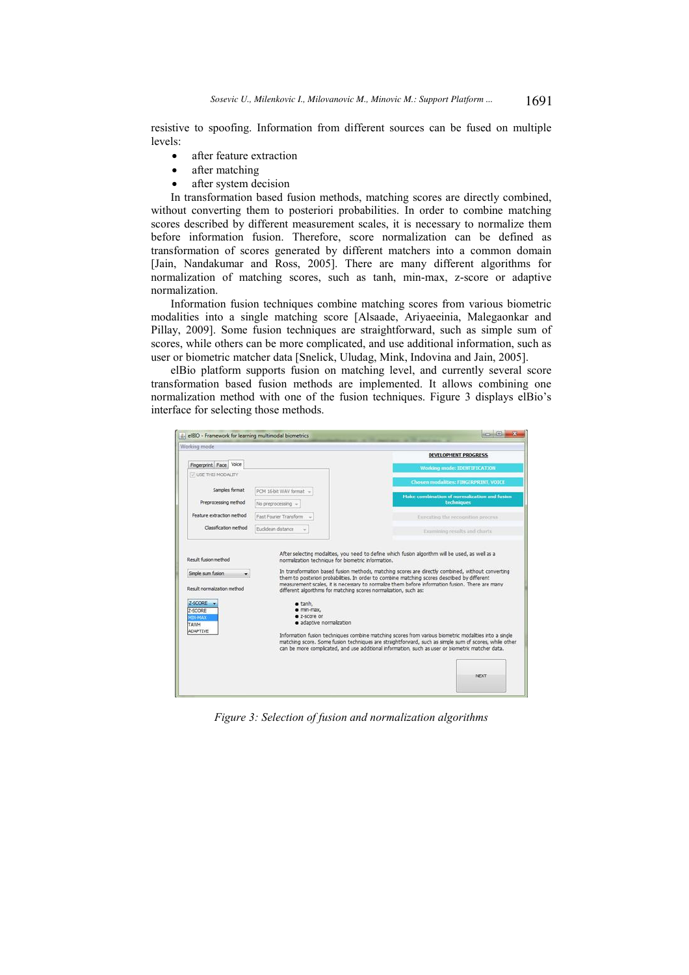resistive to spoofing. Information from different sources can be fused on multiple levels:

- after feature extraction
- after matching
- after system decision

In transformation based fusion methods, matching scores are directly combined, without converting them to posteriori probabilities. In order to combine matching scores described by different measurement scales, it is necessary to normalize them before information fusion. Therefore, score normalization can be defined as transformation of scores generated by different matchers into a common domain [Jain, Nandakumar and Ross, 2005]. There are many different algorithms for normalization of matching scores, such as tanh, min-max, z-score or adaptive normalization.

Information fusion techniques combine matching scores from various biometric modalities into a single matching score [Alsaade, Ariyaeeinia, Malegaonkar and Pillay, 2009]. Some fusion techniques are straightforward, such as simple sum of scores, while others can be more complicated, and use additional information, such as user or biometric matcher data [Snelick, Uludag, Mink, Indovina and Jain, 2005].

elBio platform supports fusion on matching level, and currently several score transformation based fusion methods are implemented. It allows combining one normalization method with one of the fusion techniques. Figure 3 displays elBio's interface for selecting those methods.

| Working mode                                      |                                                                             |                                                                                                                                                                                                                                                                                                                    |
|---------------------------------------------------|-----------------------------------------------------------------------------|--------------------------------------------------------------------------------------------------------------------------------------------------------------------------------------------------------------------------------------------------------------------------------------------------------------------|
|                                                   |                                                                             | <b>DEVELOPMENT PROGRESS</b>                                                                                                                                                                                                                                                                                        |
| Fingerprint Face Voice                            |                                                                             | <b>Working mode: IDENTIFICATION</b>                                                                                                                                                                                                                                                                                |
| IT USE THIS MODALITY                              |                                                                             | Chosen modalities: FINGERPRINT, VOICE                                                                                                                                                                                                                                                                              |
| Samples format                                    | PCM 16-bit WAV format -                                                     | Hake combination of normalization and fusion                                                                                                                                                                                                                                                                       |
| Preprocessing method<br>Feature extraction method | No preprocessing -                                                          | techniques                                                                                                                                                                                                                                                                                                         |
|                                                   | Fast Fourier Transform                                                      | Executing the recognition process-                                                                                                                                                                                                                                                                                 |
| Classification method                             | Euclidean distance                                                          | Examining results and charts                                                                                                                                                                                                                                                                                       |
| Result normalization method<br>Z-SCORE            | different algorithms for matching scores normalization, such as:<br>$anh$ . |                                                                                                                                                                                                                                                                                                                    |
| 2-SCORE<br><b>XEN-MAX</b><br><b>TAWH</b>          | · min-max.<br>$2-5C$ Ore or<br>· adaptive normalization                     |                                                                                                                                                                                                                                                                                                                    |
| ADAPTIVE                                          |                                                                             | Information fusion techniques combine matching scores from various biometric modalities into a single<br>matching score. Some fusion techniques are straightforward, such as simple sum of scores, while other<br>can be more complicated, and use additional information, such as user or biometric matcher data. |

*Figure 3: Selection of fusion and normalization algorithms*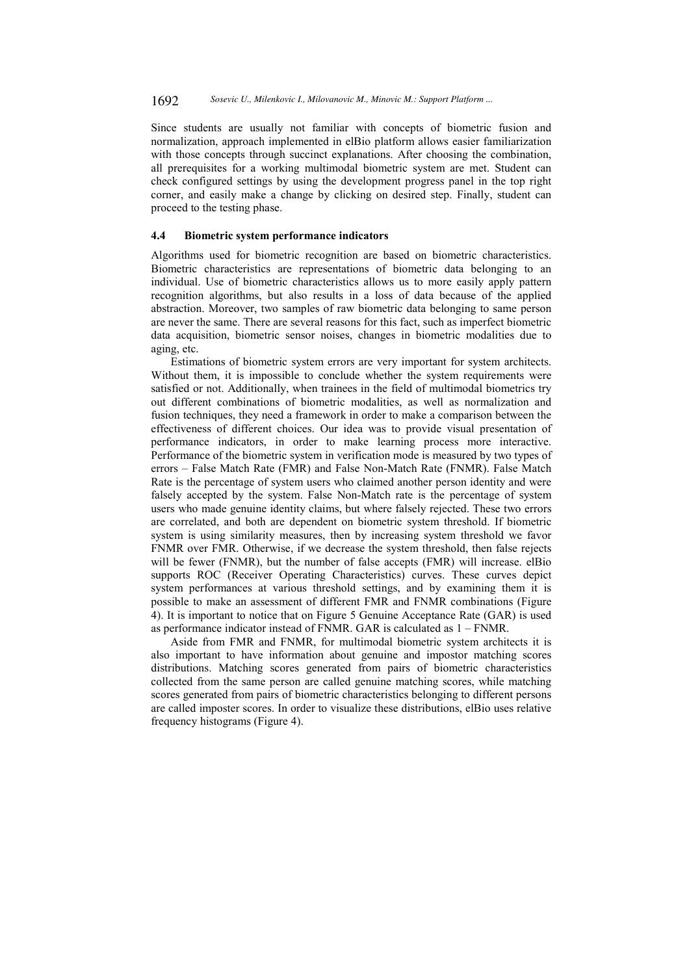Since students are usually not familiar with concepts of biometric fusion and normalization, approach implemented in elBio platform allows easier familiarization with those concepts through succinct explanations. After choosing the combination, all prerequisites for a working multimodal biometric system are met. Student can check configured settings by using the development progress panel in the top right corner, and easily make a change by clicking on desired step. Finally, student can proceed to the testing phase.

# **4.4 Biometric system performance indicators**

Algorithms used for biometric recognition are based on biometric characteristics. Biometric characteristics are representations of biometric data belonging to an individual. Use of biometric characteristics allows us to more easily apply pattern recognition algorithms, but also results in a loss of data because of the applied abstraction. Moreover, two samples of raw biometric data belonging to same person are never the same. There are several reasons for this fact, such as imperfect biometric data acquisition, biometric sensor noises, changes in biometric modalities due to aging, etc.

Estimations of biometric system errors are very important for system architects. Without them, it is impossible to conclude whether the system requirements were satisfied or not. Additionally, when trainees in the field of multimodal biometrics try out different combinations of biometric modalities, as well as normalization and fusion techniques, they need a framework in order to make a comparison between the effectiveness of different choices. Our idea was to provide visual presentation of performance indicators, in order to make learning process more interactive. Performance of the biometric system in verification mode is measured by two types of errors – False Match Rate (FMR) and False Non-Match Rate (FNMR). False Match Rate is the percentage of system users who claimed another person identity and were falsely accepted by the system. False Non-Match rate is the percentage of system users who made genuine identity claims, but where falsely rejected. These two errors are correlated, and both are dependent on biometric system threshold. If biometric system is using similarity measures, then by increasing system threshold we favor FNMR over FMR. Otherwise, if we decrease the system threshold, then false rejects will be fewer (FNMR), but the number of false accepts (FMR) will increase. elBio supports ROC (Receiver Operating Characteristics) curves. These curves depict system performances at various threshold settings, and by examining them it is possible to make an assessment of different FMR and FNMR combinations (Figure 4). It is important to notice that on Figure 5 Genuine Acceptance Rate (GAR) is used as performance indicator instead of FNMR. GAR is calculated as 1 – FNMR.

Aside from FMR and FNMR, for multimodal biometric system architects it is also important to have information about genuine and impostor matching scores distributions. Matching scores generated from pairs of biometric characteristics collected from the same person are called genuine matching scores, while matching scores generated from pairs of biometric characteristics belonging to different persons are called imposter scores. In order to visualize these distributions, elBio uses relative frequency histograms (Figure 4).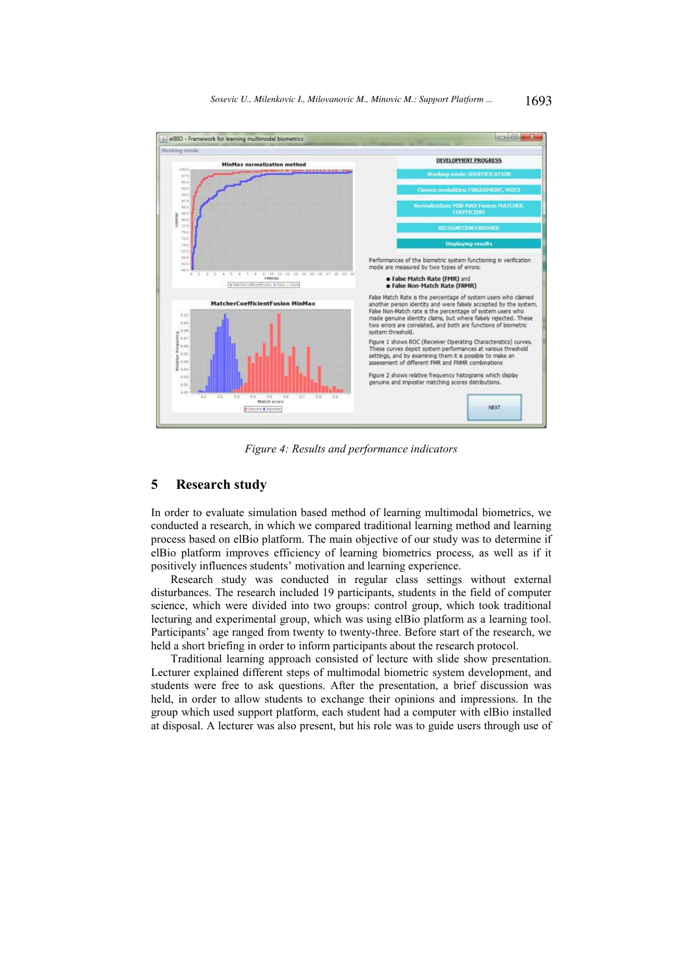

*Figure 4: Results and performance indicators* 

# **5 Research study**

In order to evaluate simulation based method of learning multimodal biometrics, we conducted a research, in which we compared traditional learning method and learning process based on elBio platform. The main objective of our study was to determine if elBio platform improves efficiency of learning biometrics process, as well as if it positively influences students' motivation and learning experience.

Research study was conducted in regular class settings without external disturbances. The research included 19 participants, students in the field of computer science, which were divided into two groups: control group, which took traditional lecturing and experimental group, which was using elBio platform as a learning tool. Participants' age ranged from twenty to twenty-three. Before start of the research, we held a short briefing in order to inform participants about the research protocol.

Traditional learning approach consisted of lecture with slide show presentation. Lecturer explained different steps of multimodal biometric system development, and students were free to ask questions. After the presentation, a brief discussion was held, in order to allow students to exchange their opinions and impressions. In the group which used support platform, each student had a computer with elBio installed at disposal. A lecturer was also present, but his role was to guide users through use of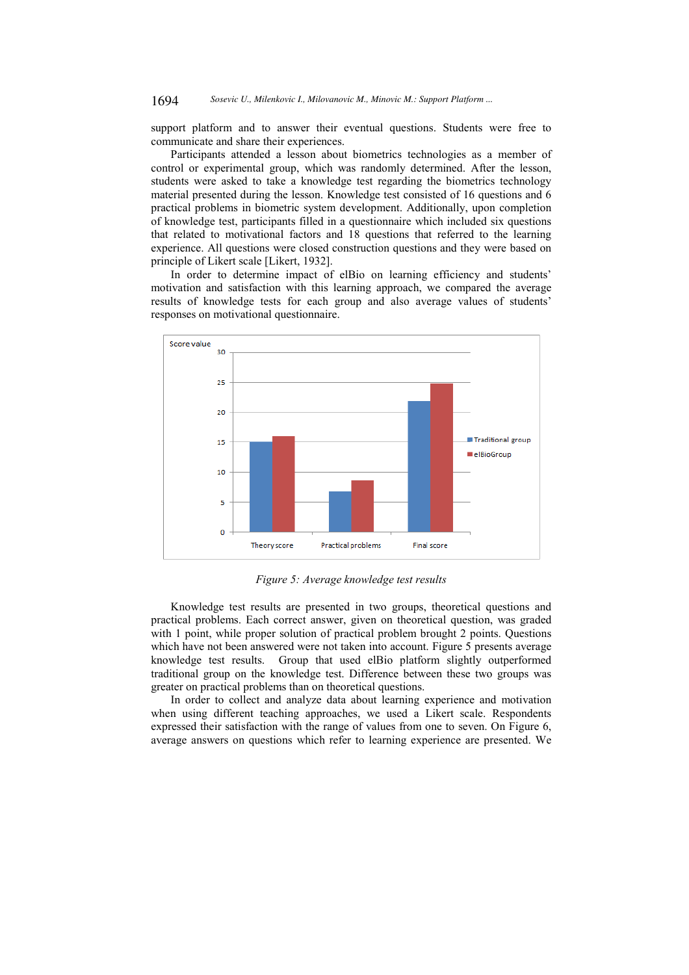support platform and to answer their eventual questions. Students were free to communicate and share their experiences.

Participants attended a lesson about biometrics technologies as a member of control or experimental group, which was randomly determined. After the lesson, students were asked to take a knowledge test regarding the biometrics technology material presented during the lesson. Knowledge test consisted of 16 questions and 6 practical problems in biometric system development. Additionally, upon completion of knowledge test, participants filled in a questionnaire which included six questions that related to motivational factors and 18 questions that referred to the learning experience. All questions were closed construction questions and they were based on principle of Likert scale [Likert, 1932].

In order to determine impact of elBio on learning efficiency and students' motivation and satisfaction with this learning approach, we compared the average results of knowledge tests for each group and also average values of students' responses on motivational questionnaire.



*Figure 5: Average knowledge test results* 

Knowledge test results are presented in two groups, theoretical questions and practical problems. Each correct answer, given on theoretical question, was graded with 1 point, while proper solution of practical problem brought 2 points. Questions which have not been answered were not taken into account. Figure 5 presents average knowledge test results. Group that used elBio platform slightly outperformed traditional group on the knowledge test. Difference between these two groups was greater on practical problems than on theoretical questions.

In order to collect and analyze data about learning experience and motivation when using different teaching approaches, we used a Likert scale. Respondents expressed their satisfaction with the range of values from one to seven. On Figure 6, average answers on questions which refer to learning experience are presented. We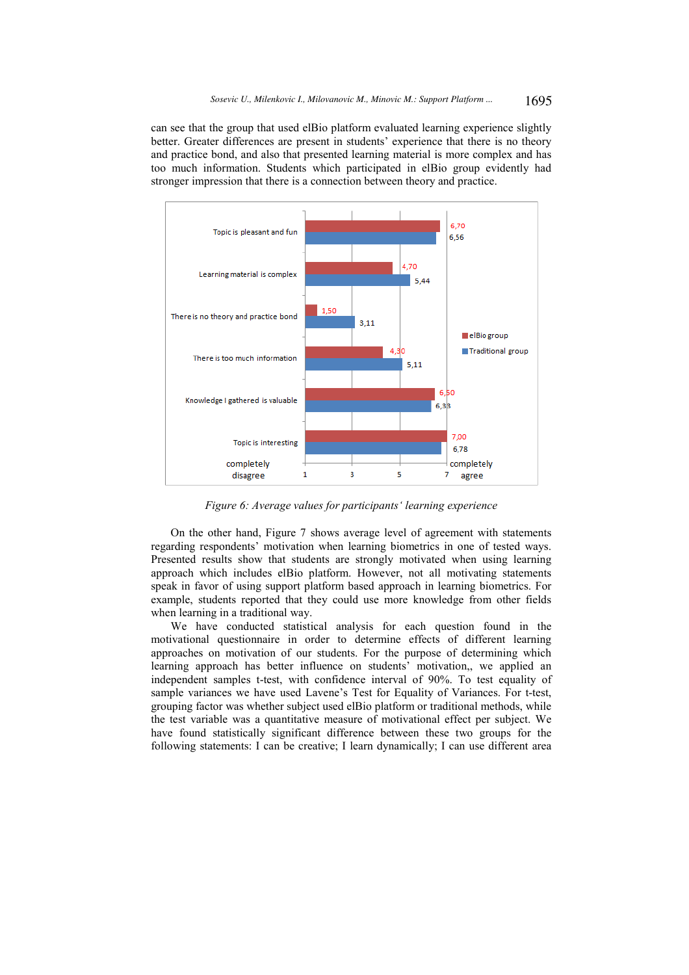can see that the group that used elBio platform evaluated learning experience slightly better. Greater differences are present in students' experience that there is no theory and practice bond, and also that presented learning material is more complex and has too much information. Students which participated in elBio group evidently had stronger impression that there is a connection between theory and practice.



*Figure 6: Average values for participants' learning experience* 

On the other hand, Figure 7 shows average level of agreement with statements regarding respondents' motivation when learning biometrics in one of tested ways. Presented results show that students are strongly motivated when using learning approach which includes elBio platform. However, not all motivating statements speak in favor of using support platform based approach in learning biometrics. For example, students reported that they could use more knowledge from other fields when learning in a traditional way.

We have conducted statistical analysis for each question found in the motivational questionnaire in order to determine effects of different learning approaches on motivation of our students. For the purpose of determining which learning approach has better influence on students' motivation,, we applied an independent samples t-test, with confidence interval of 90%. To test equality of sample variances we have used Lavene's Test for Equality of Variances. For t-test, grouping factor was whether subject used elBio platform or traditional methods, while the test variable was a quantitative measure of motivational effect per subject. We have found statistically significant difference between these two groups for the following statements: I can be creative; I learn dynamically; I can use different area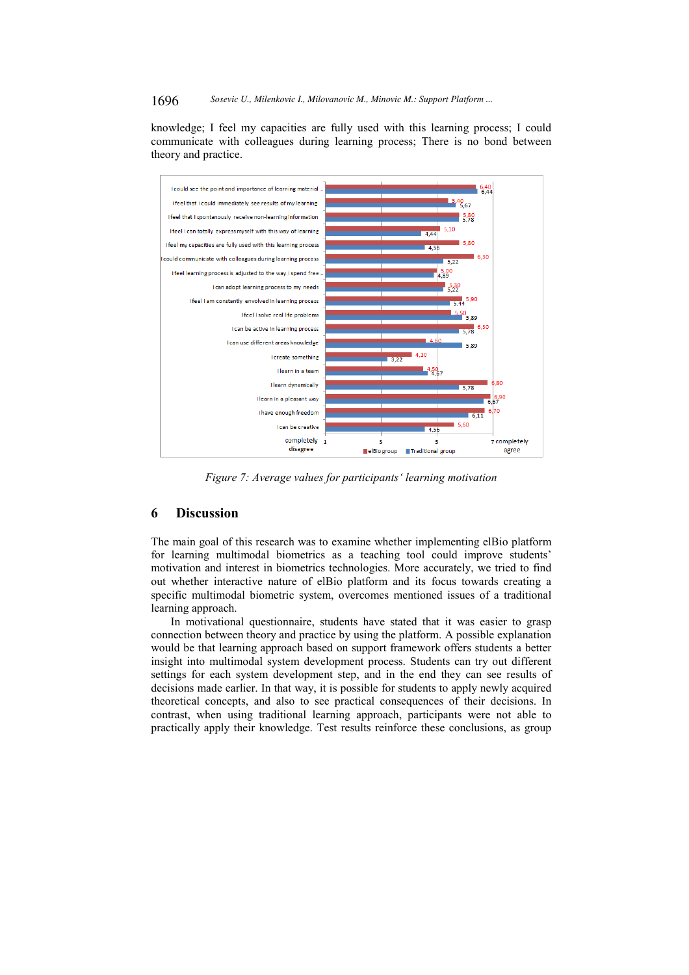1696 *Sosevic U., Milenkovic I., Milovanovic M., Minovic M.: Support Platform ...*

knowledge; I feel my capacities are fully used with this learning process; I could communicate with colleagues during learning process; There is no bond between theory and practice.



*Figure 7: Average values for participants' learning motivation* 

# **6 Discussion**

The main goal of this research was to examine whether implementing elBio platform for learning multimodal biometrics as a teaching tool could improve students' motivation and interest in biometrics technologies. More accurately, we tried to find out whether interactive nature of elBio platform and its focus towards creating a specific multimodal biometric system, overcomes mentioned issues of a traditional learning approach.

In motivational questionnaire, students have stated that it was easier to grasp connection between theory and practice by using the platform. A possible explanation would be that learning approach based on support framework offers students a better insight into multimodal system development process. Students can try out different settings for each system development step, and in the end they can see results of decisions made earlier. In that way, it is possible for students to apply newly acquired theoretical concepts, and also to see practical consequences of their decisions. In contrast, when using traditional learning approach, participants were not able to practically apply their knowledge. Test results reinforce these conclusions, as group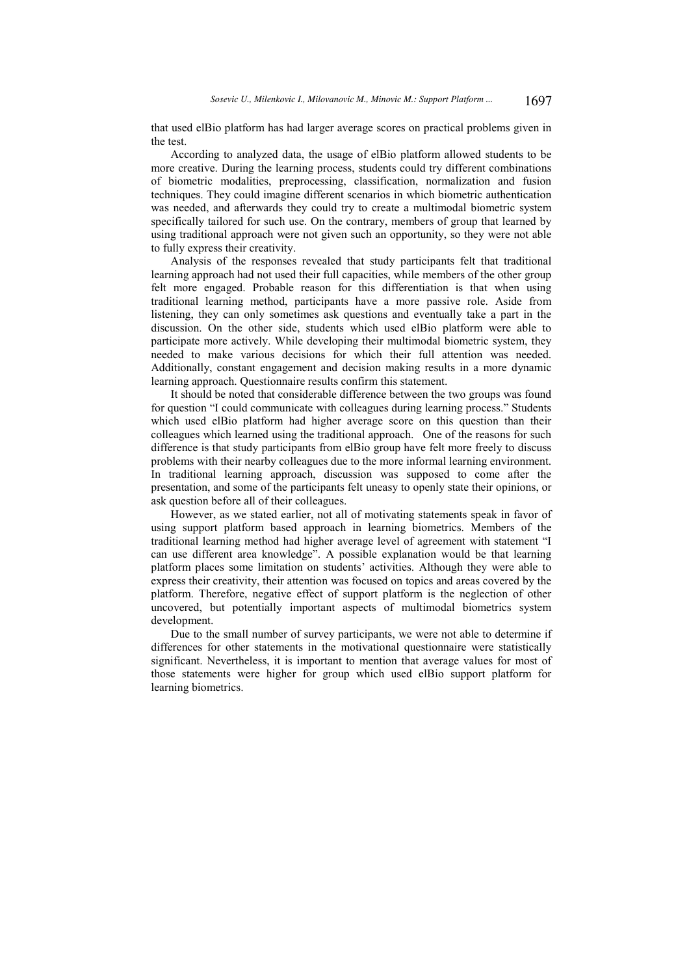that used elBio platform has had larger average scores on practical problems given in the test.

According to analyzed data, the usage of elBio platform allowed students to be more creative. During the learning process, students could try different combinations of biometric modalities, preprocessing, classification, normalization and fusion techniques. They could imagine different scenarios in which biometric authentication was needed, and afterwards they could try to create a multimodal biometric system specifically tailored for such use. On the contrary, members of group that learned by using traditional approach were not given such an opportunity, so they were not able to fully express their creativity.

Analysis of the responses revealed that study participants felt that traditional learning approach had not used their full capacities, while members of the other group felt more engaged. Probable reason for this differentiation is that when using traditional learning method, participants have a more passive role. Aside from listening, they can only sometimes ask questions and eventually take a part in the discussion. On the other side, students which used elBio platform were able to participate more actively. While developing their multimodal biometric system, they needed to make various decisions for which their full attention was needed. Additionally, constant engagement and decision making results in a more dynamic learning approach. Questionnaire results confirm this statement.

It should be noted that considerable difference between the two groups was found for question "I could communicate with colleagues during learning process." Students which used elBio platform had higher average score on this question than their colleagues which learned using the traditional approach. One of the reasons for such difference is that study participants from elBio group have felt more freely to discuss problems with their nearby colleagues due to the more informal learning environment. In traditional learning approach, discussion was supposed to come after the presentation, and some of the participants felt uneasy to openly state their opinions, or ask question before all of their colleagues.

However, as we stated earlier, not all of motivating statements speak in favor of using support platform based approach in learning biometrics. Members of the traditional learning method had higher average level of agreement with statement "I can use different area knowledge". A possible explanation would be that learning platform places some limitation on students' activities. Although they were able to express their creativity, their attention was focused on topics and areas covered by the platform. Therefore, negative effect of support platform is the neglection of other uncovered, but potentially important aspects of multimodal biometrics system development.

Due to the small number of survey participants, we were not able to determine if differences for other statements in the motivational questionnaire were statistically significant. Nevertheless, it is important to mention that average values for most of those statements were higher for group which used elBio support platform for learning biometrics.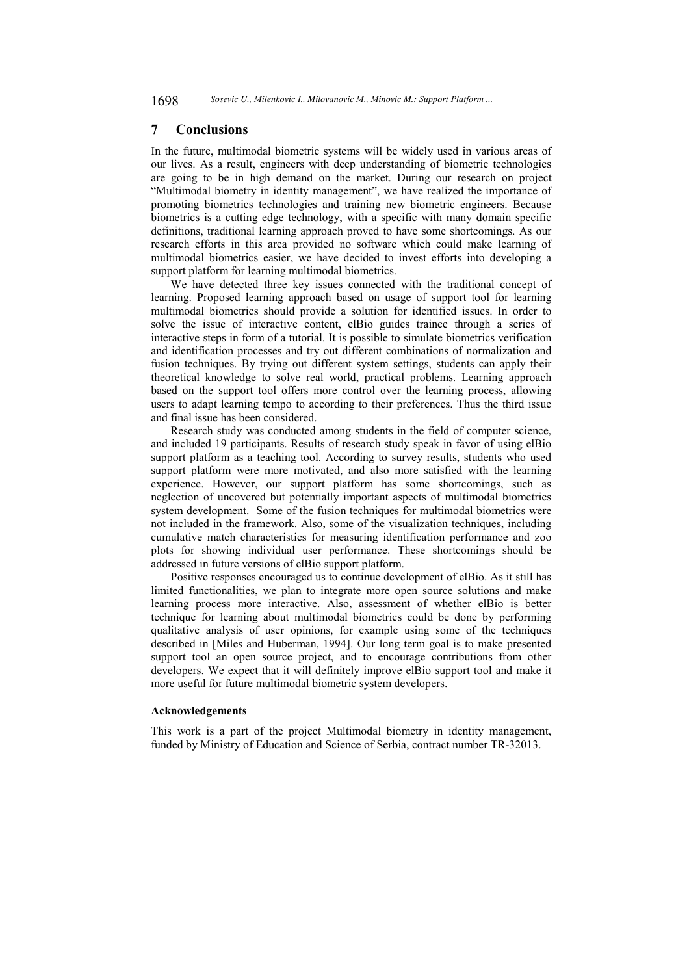# **7 Conclusions**

In the future, multimodal biometric systems will be widely used in various areas of our lives. As a result, engineers with deep understanding of biometric technologies are going to be in high demand on the market. During our research on project "Multimodal biometry in identity management", we have realized the importance of promoting biometrics technologies and training new biometric engineers. Because biometrics is a cutting edge technology, with a specific with many domain specific definitions, traditional learning approach proved to have some shortcomings. As our research efforts in this area provided no software which could make learning of multimodal biometrics easier, we have decided to invest efforts into developing a support platform for learning multimodal biometrics.

We have detected three key issues connected with the traditional concept of learning. Proposed learning approach based on usage of support tool for learning multimodal biometrics should provide a solution for identified issues. In order to solve the issue of interactive content, elBio guides trainee through a series of interactive steps in form of a tutorial. It is possible to simulate biometrics verification and identification processes and try out different combinations of normalization and fusion techniques. By trying out different system settings, students can apply their theoretical knowledge to solve real world, practical problems. Learning approach based on the support tool offers more control over the learning process, allowing users to adapt learning tempo to according to their preferences. Thus the third issue and final issue has been considered.

Research study was conducted among students in the field of computer science, and included 19 participants. Results of research study speak in favor of using elBio support platform as a teaching tool. According to survey results, students who used support platform were more motivated, and also more satisfied with the learning experience. However, our support platform has some shortcomings, such as neglection of uncovered but potentially important aspects of multimodal biometrics system development. Some of the fusion techniques for multimodal biometrics were not included in the framework. Also, some of the visualization techniques, including cumulative match characteristics for measuring identification performance and zoo plots for showing individual user performance. These shortcomings should be addressed in future versions of elBio support platform.

Positive responses encouraged us to continue development of elBio. As it still has limited functionalities, we plan to integrate more open source solutions and make learning process more interactive. Also, assessment of whether elBio is better technique for learning about multimodal biometrics could be done by performing qualitative analysis of user opinions, for example using some of the techniques described in [Miles and Huberman, 1994]. Our long term goal is to make presented support tool an open source project, and to encourage contributions from other developers. We expect that it will definitely improve elBio support tool and make it more useful for future multimodal biometric system developers.

#### **Acknowledgements**

This work is a part of the project Multimodal biometry in identity management, funded by Ministry of Education and Science of Serbia, contract number TR-32013.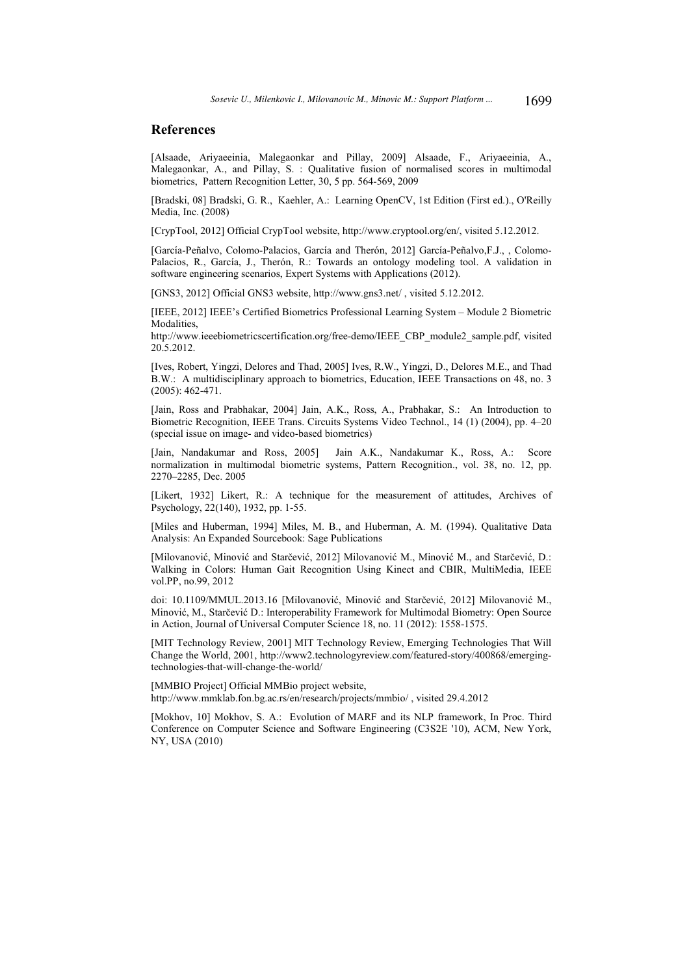# **References**

[Alsaade, Ariyaeeinia, Malegaonkar and Pillay, 2009] Alsaade, F., Ariyaeeinia, A., Malegaonkar, A., and Pillay, S. : Qualitative fusion of normalised scores in multimodal biometrics, Pattern Recognition Letter, 30, 5 pp. 564-569, 2009

[Bradski, 08] Bradski, G. R., Kaehler, A.: Learning OpenCV, 1st Edition (First ed.)., O'Reilly Media, Inc. (2008)

[CrypTool, 2012] Official CrypTool website, http://www.cryptool.org/en/, visited 5.12.2012.

[García-Peñalvo, Colomo-Palacios, García and Therón, 2012] García-Peñalvo,F.J., , Colomo-Palacios, R., García, J., Therón, R.: Towards an ontology modeling tool. A validation in software engineering scenarios, Expert Systems with Applications (2012).

[GNS3, 2012] Official GNS3 website, http://www.gns3.net/ , visited 5.12.2012.

[IEEE, 2012] IEEE's Certified Biometrics Professional Learning System – Module 2 Biometric Modalities,

http://www.ieeebiometricscertification.org/free-demo/IEEE\_CBP\_module2\_sample.pdf, visited 20.5.2012.

[Ives, Robert, Yingzi, Delores and Thad, 2005] Ives, R.W., Yingzi, D., Delores M.E., and Thad B.W.: A multidisciplinary approach to biometrics, Education, IEEE Transactions on 48, no. 3 (2005): 462-471.

[Jain, Ross and Prabhakar, 2004] Jain, A.K., Ross, A., Prabhakar, S.: An Introduction to Biometric Recognition, IEEE Trans. Circuits Systems Video Technol., 14 (1) (2004), pp. 4–20 (special issue on image- and video-based biometrics)

[Jain, Nandakumar and Ross, 2005] Jain A.K., Nandakumar K., Ross, A.: Score normalization in multimodal biometric systems, Pattern Recognition., vol. 38, no. 12, pp. 2270–2285, Dec. 2005

[Likert, 1932] Likert, R.: A technique for the measurement of attitudes, Archives of Psychology, 22(140), 1932, pp. 1-55.

[Miles and Huberman, 1994] Miles, M. B., and Huberman, A. M. (1994). Qualitative Data Analysis: An Expanded Sourcebook: Sage Publications

[Milovanović, Minović and Starčević, 2012] Milovanović M., Minović M., and Starčević, D.: Walking in Colors: Human Gait Recognition Using Kinect and CBIR, MultiMedia, IEEE vol.PP, no.99, 2012

doi: 10.1109/MMUL.2013.16 [Milovanović, Minović and Starčević, 2012] Milovanović M., Minović, M., Starčević D.: Interoperability Framework for Multimodal Biometry: Open Source in Action, Journal of Universal Computer Science 18, no. 11 (2012): 1558-1575.

[MIT Technology Review, 2001] MIT Technology Review, Emerging Technologies That Will Change the World, 2001, http://www2.technologyreview.com/featured-story/400868/emergingtechnologies-that-will-change-the-world/

[MMBIO Project] Official MMBio project website, http://www.mmklab.fon.bg.ac.rs/en/research/projects/mmbio/ , visited 29.4.2012

[Mokhov, 10] Mokhov, S. A.: Evolution of MARF and its NLP framework, In Proc. Third Conference on Computer Science and Software Engineering (C3S2E '10), ACM, New York, NY, USA (2010)